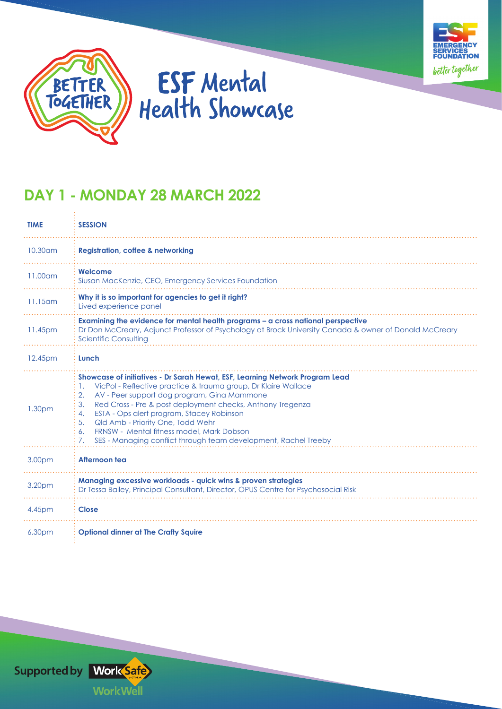



## **ESF** Mental Health Showcase

## **DAY 1 - MONDAY 28 MARCH 2022**

| <b>TIME</b>        | <b>SESSION</b>                                                                                                                                                                                                                                                                                                                                                                                                                                                                                                 |  |  |
|--------------------|----------------------------------------------------------------------------------------------------------------------------------------------------------------------------------------------------------------------------------------------------------------------------------------------------------------------------------------------------------------------------------------------------------------------------------------------------------------------------------------------------------------|--|--|
| 10.30 am           | <b>Registration, coffee &amp; networking</b>                                                                                                                                                                                                                                                                                                                                                                                                                                                                   |  |  |
| $11.00$ am         | Welcome<br>Siusan MacKenzie, CEO, Emergency Services Foundation                                                                                                                                                                                                                                                                                                                                                                                                                                                |  |  |
| $11.15$ am         | Why it is so important for agencies to get it right?<br>Lived experience panel                                                                                                                                                                                                                                                                                                                                                                                                                                 |  |  |
| 11.45pm            | Examining the evidence for mental health programs - a cross national perspective<br>Dr Don McCreary, Adjunct Professor of Psychology at Brock University Canada & owner of Donald McCreary<br><b>Scientific Consulting</b>                                                                                                                                                                                                                                                                                     |  |  |
| 12.45pm            | Lunch                                                                                                                                                                                                                                                                                                                                                                                                                                                                                                          |  |  |
| 1.30 <sub>pm</sub> | Showcase of initiatives - Dr Sarah Hewat, ESF, Learning Network Program Lead<br>VicPol - Reflective practice & trauma group, Dr Klaire Wallace<br>Ι.<br>AV - Peer support dog program, Gina Mammone<br>2.<br>Red Cross - Pre & post deployment checks, Anthony Tregenza<br>3.<br>ESTA - Ops alert program, Stacey Robinson<br>4.<br>Qld Amb - Priority One, Todd Wehr<br>5.<br><b>FRNSW - Mental fitness model, Mark Dobson</b><br>6.<br>SES - Managing conflict through team development, Rachel Treeby<br>7. |  |  |
| 3.00pm             | Afternoon tea                                                                                                                                                                                                                                                                                                                                                                                                                                                                                                  |  |  |
| 3.20pm             | <b>Managing excessive workloads - quick wins &amp; proven strategies</b><br>Dr Tessa Bailey, Principal Consultant, Director, OPUS Centre for Psychosocial Risk                                                                                                                                                                                                                                                                                                                                                 |  |  |
| 4.45pm             | <b>Close</b>                                                                                                                                                                                                                                                                                                                                                                                                                                                                                                   |  |  |
| 6.30 <sub>pm</sub> | <b>Optional dinner at The Crafty Squire</b>                                                                                                                                                                                                                                                                                                                                                                                                                                                                    |  |  |